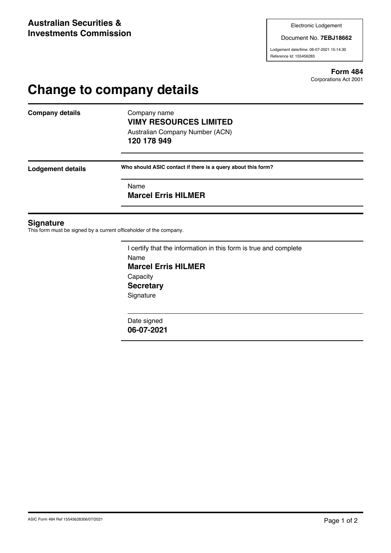Document No. **7EBJ18662**

Lodgement date/time: 06-07-2021 15:14:30 Reference Id: 155456283

> **Form 484** Corporations Act 2001

# **Change to company details**

**Company details** Company name

## **VIMY RESOURCES LIMITED** Australian Company Number (ACN)

**120 178 949**

**Lodgement details Who should ASIC contact if there is a query about this form?**

Name

**Marcel Erris HILMER**

#### **Signature**

This form must be signed by a current officeholder of the company.

I certify that the information in this form is true and complete Name **Marcel Erris HILMER Capacity Secretary Signature** 

Date signed **06-07-2021**